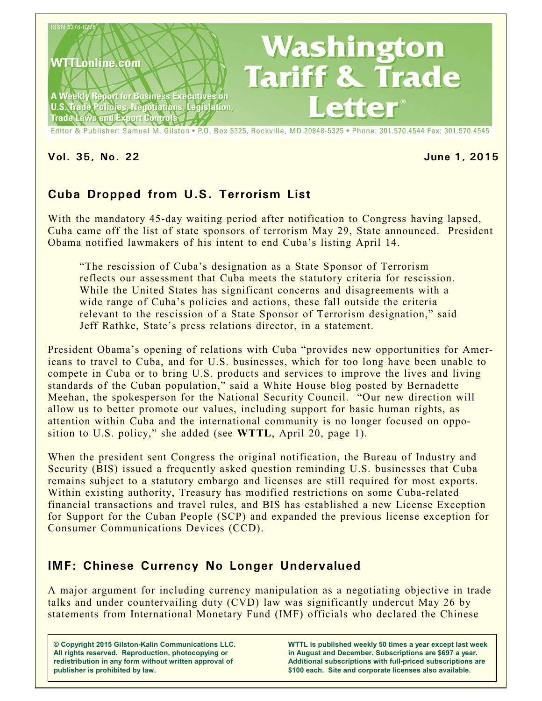

**Vol. 35, No. 22 June 1, 2015**

# **Cuba Dropped from U.S. Terrorism List**

With the mandatory 45-day waiting period after notification to Congress having lapsed, Cuba came off the list of state sponsors of terrorism May 29, State announced. President Obama notified lawmakers of his intent to end Cuba's listing April 14.

"The rescission of Cuba's designation as a State Sponsor of Terrorism reflects our assessment that Cuba meets the statutory criteria for rescission. While the United States has significant concerns and disagreements with a wide range of Cuba's policies and actions, these fall outside the criteria relevant to the rescission of a State Sponsor of Terrorism designation," said Jeff Rathke, State's press relations director, in a statement.

President Obama's opening of relations with Cuba "provides new opportunities for Americans to travel to Cuba, and for U.S. businesses, which for too long have been unable to compete in Cuba or to bring U.S. products and services to improve the lives and living standards of the Cuban population," said a White House blog posted by Bernadette Meehan, the spokesperson for the National Security Council. "Our new direction will allow us to better promote our values, including support for basic human rights, as attention within Cuba and the international community is no longer focused on opposition to U.S. policy," she added (see **WTTL**, April 20, page 1).

When the president sent Congress the original notification, the Bureau of Industry and Security (BIS) issued a frequently asked question reminding U.S. businesses that Cuba remains subject to a statutory embargo and licenses are still required for most exports. Within existing authority, Treasury has modified restrictions on some Cuba-related financial transactions and travel rules, and BIS has established a new License Exception for Support for the Cuban People (SCP) and expanded the previous license exception for Consumer Communications Devices (CCD).

## **IMF: Chinese Currency No Longer Undervalued**

A major argument for including currency manipulation as a negotiating objective in trade talks and under countervailing duty (CVD) law was significantly undercut May 26 by statements from International Monetary Fund (IMF) officials who declared the Chinese

**© Copyright 2015 Gilston-Kalin Communications LLC. All rights reserved. Reproduction, photocopying or redistribution in any form without written approval of publisher is prohibited by law.** 

**WTTL is published weekly 50 times a year except last week in August and December. Subscriptions are \$697 a year. Additional subscriptions with full-priced subscriptions are \$100 each. Site and corporate licenses also available.**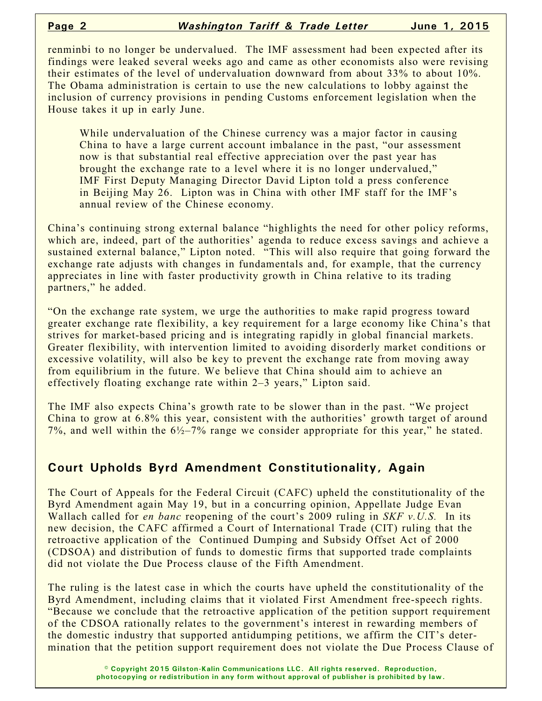renminbi to no longer be undervalued. The IMF assessment had been expected after its findings were leaked several weeks ago and came as other economists also were revising their estimates of the level of undervaluation downward from about 33% to about 10%. The Obama administration is certain to use the new calculations to lobby against the inclusion of currency provisions in pending Customs enforcement legislation when the House takes it up in early June.

While undervaluation of the Chinese currency was a major factor in causing China to have a large current account imbalance in the past, "our assessment now is that substantial real effective appreciation over the past year has brought the exchange rate to a level where it is no longer undervalued," IMF First Deputy Managing Director David Lipton told a press conference in Beijing May 26. Lipton was in China with other IMF staff for the IMF's annual review of the Chinese economy.

China's continuing strong external balance "highlights the need for other policy reforms, which are, indeed, part of the authorities' agenda to reduce excess savings and achieve a sustained external balance," Lipton noted. "This will also require that going forward the exchange rate adjusts with changes in fundamentals and, for example, that the currency appreciates in line with faster productivity growth in China relative to its trading partners," he added.

"On the exchange rate system, we urge the authorities to make rapid progress toward greater exchange rate flexibility, a key requirement for a large economy like China's that strives for market-based pricing and is integrating rapidly in global financial markets. Greater flexibility, with intervention limited to avoiding disorderly market conditions or excessive volatility, will also be key to prevent the exchange rate from moving away from equilibrium in the future. We believe that China should aim to achieve an effectively floating exchange rate within 2–3 years," Lipton said.

The IMF also expects China's growth rate to be slower than in the past. "We project China to grow at 6.8% this year, consistent with the authorities' growth target of around 7%, and well within the  $6\frac{1}{2}$ –7% range we consider appropriate for this year," he stated.

### **Court Upholds Byrd Amendment Constitutionality, Again**

The Court of Appeals for the Federal Circuit (CAFC) upheld the constitutionality of the Byrd Amendment again May 19, but in a concurring opinion, Appellate Judge Evan Wallach called for *en banc* reopening of the court's 2009 ruling in *SKF v.U.S.* In its new decision, the CAFC affirmed a Court of International Trade (CIT) ruling that the retroactive application of the Continued Dumping and Subsidy Offset Act of 2000 (CDSOA) and distribution of funds to domestic firms that supported trade complaints did not violate the Due Process clause of the Fifth Amendment.

The ruling is the latest case in which the courts have upheld the constitutionality of the Byrd Amendment, including claims that it violated First Amendment free-speech rights. "Because we conclude that the retroactive application of the petition support requirement of the CDSOA rationally relates to the government's interest in rewarding members of the domestic industry that supported antidumping petitions, we affirm the CIT's determination that the petition support requirement does not violate the Due Process Clause of

> **© Copyright 2015 Gilston-Kalin Communications LLC. All rights reserved. Reproduction, photocopying or redistribution in any form without approval of publisher is prohibited by law.**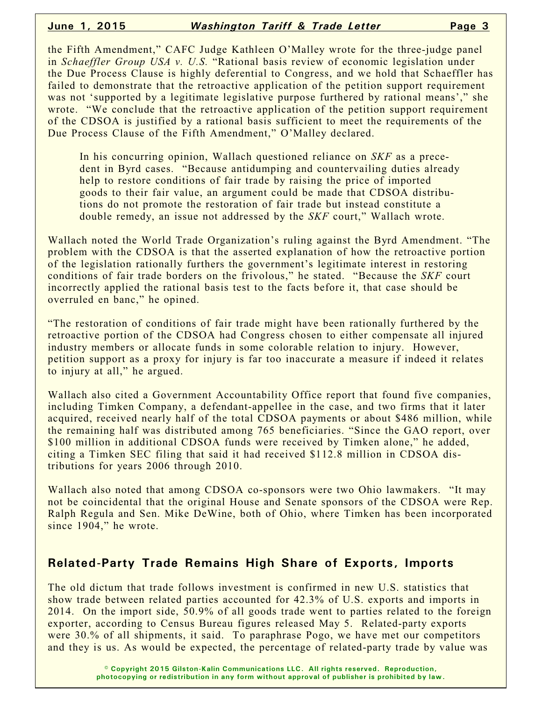the Fifth Amendment," CAFC Judge Kathleen O'Malley wrote for the three-judge panel in *Schaeffler Group USA v. U.S.* "Rational basis review of economic legislation under the Due Process Clause is highly deferential to Congress, and we hold that Schaeffler has failed to demonstrate that the retroactive application of the petition support requirement was not 'supported by a legitimate legislative purpose furthered by rational means'," she wrote. "We conclude that the retroactive application of the petition support requirement of the CDSOA is justified by a rational basis sufficient to meet the requirements of the Due Process Clause of the Fifth Amendment," O'Malley declared.

In his concurring opinion, Wallach questioned reliance on *SKF* as a precedent in Byrd cases. "Because antidumping and countervailing duties already help to restore conditions of fair trade by raising the price of imported goods to their fair value, an argument could be made that CDSOA distributions do not promote the restoration of fair trade but instead constitute a double remedy, an issue not addressed by the *SKF* court," Wallach wrote.

Wallach noted the World Trade Organization's ruling against the Byrd Amendment. "The problem with the CDSOA is that the asserted explanation of how the retroactive portion of the legislation rationally furthers the government's legitimate interest in restoring conditions of fair trade borders on the frivolous," he stated. "Because the *SKF* court incorrectly applied the rational basis test to the facts before it, that case should be overruled en banc," he opined.

"The restoration of conditions of fair trade might have been rationally furthered by the retroactive portion of the CDSOA had Congress chosen to either compensate all injured industry members or allocate funds in some colorable relation to injury. However, petition support as a proxy for injury is far too inaccurate a measure if indeed it relates to injury at all," he argued.

Wallach also cited a Government Accountability Office report that found five companies, including Timken Company, a defendant-appellee in the case, and two firms that it later acquired, received nearly half of the total CDSOA payments or about \$486 million, while the remaining half was distributed among 765 beneficiaries. "Since the GAO report, over \$100 million in additional CDSOA funds were received by Timken alone," he added, citing a Timken SEC filing that said it had received \$112.8 million in CDSOA distributions for years 2006 through 2010.

Wallach also noted that among CDSOA co-sponsors were two Ohio lawmakers. "It may not be coincidental that the original House and Senate sponsors of the CDSOA were Rep. Ralph Regula and Sen. Mike DeWine, both of Ohio, where Timken has been incorporated since 1904," he wrote.

#### **Related-Party Trade Remains High Share of Exports, Imports**

The old dictum that trade follows investment is confirmed in new U.S. statistics that show trade between related parties accounted for 42.3% of U.S. exports and imports in 2014. On the import side, 50.9% of all goods trade went to parties related to the foreign exporter, according to Census Bureau figures released May 5. Related-party exports were 30.% of all shipments, it said. To paraphrase Pogo, we have met our competitors and they is us. As would be expected, the percentage of related-party trade by value was

> **© Copyright 2015 Gilston-Kalin Communications LLC. All rights reserved. Reproduction, photocopying or redistribution in any form without approval of publisher is prohibited by law.**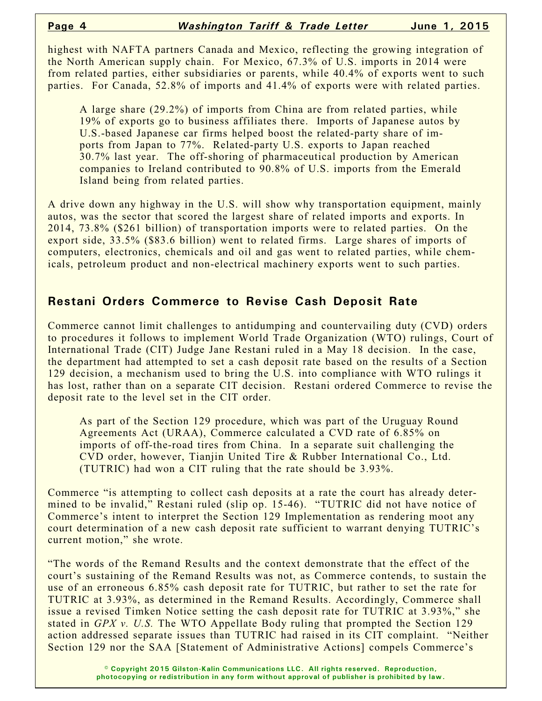highest with NAFTA partners Canada and Mexico, reflecting the growing integration of the North American supply chain. For Mexico, 67.3% of U.S. imports in 2014 were from related parties, either subsidiaries or parents, while 40.4% of exports went to such parties. For Canada, 52.8% of imports and 41.4% of exports were with related parties.

A large share (29.2%) of imports from China are from related parties, while 19% of exports go to business affiliates there. Imports of Japanese autos by U.S.-based Japanese car firms helped boost the related-party share of imports from Japan to 77%. Related-party U.S. exports to Japan reached 30.7% last year. The off-shoring of pharmaceutical production by American companies to Ireland contributed to 90.8% of U.S. imports from the Emerald Island being from related parties.

A drive down any highway in the U.S. will show why transportation equipment, mainly autos, was the sector that scored the largest share of related imports and exports. In 2014, 73.8% (\$261 billion) of transportation imports were to related parties. On the export side, 33.5% (\$83.6 billion) went to related firms. Large shares of imports of computers, electronics, chemicals and oil and gas went to related parties, while chemicals, petroleum product and non-electrical machinery exports went to such parties.

#### **Restani Orders Commerce to Revise Cash Deposit Rate**

Commerce cannot limit challenges to antidumping and countervailing duty (CVD) orders to procedures it follows to implement World Trade Organization (WTO) rulings, Court of International Trade (CIT) Judge Jane Restani ruled in a May 18 decision. In the case, the department had attempted to set a cash deposit rate based on the results of a Section 129 decision, a mechanism used to bring the U.S. into compliance with WTO rulings it has lost, rather than on a separate CIT decision. Restani ordered Commerce to revise the deposit rate to the level set in the CIT order.

As part of the Section 129 procedure, which was part of the Uruguay Round Agreements Act (URAA), Commerce calculated a CVD rate of 6.85% on imports of off-the-road tires from China. In a separate suit challenging the CVD order, however, Tianjin United Tire & Rubber International Co., Ltd. (TUTRIC) had won a CIT ruling that the rate should be 3.93%.

Commerce "is attempting to collect cash deposits at a rate the court has already determined to be invalid," Restani ruled (slip op. 15-46). "TUTRIC did not have notice of Commerce's intent to interpret the Section 129 Implementation as rendering moot any court determination of a new cash deposit rate sufficient to warrant denying TUTRIC's current motion," she wrote.

"The words of the Remand Results and the context demonstrate that the effect of the court's sustaining of the Remand Results was not, as Commerce contends, to sustain the use of an erroneous 6.85% cash deposit rate for TUTRIC, but rather to set the rate for TUTRIC at 3.93%, as determined in the Remand Results. Accordingly, Commerce shall issue a revised Timken Notice setting the cash deposit rate for TUTRIC at 3.93%," she stated in *GPX v. U.S.* The WTO Appellate Body ruling that prompted the Section 129 action addressed separate issues than TUTRIC had raised in its CIT complaint. "Neither Section 129 nor the SAA [Statement of Administrative Actions] compels Commerce's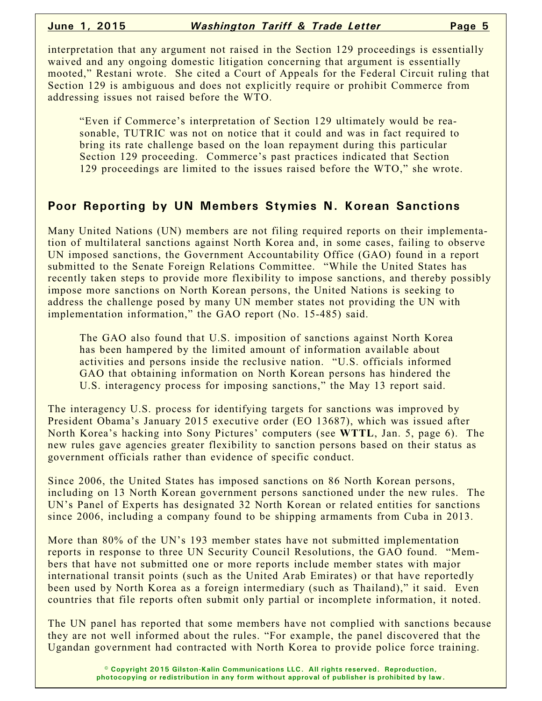interpretation that any argument not raised in the Section 129 proceedings is essentially waived and any ongoing domestic litigation concerning that argument is essentially mooted," Restani wrote. She cited a Court of Appeals for the Federal Circuit ruling that Section 129 is ambiguous and does not explicitly require or prohibit Commerce from addressing issues not raised before the WTO.

"Even if Commerce's interpretation of Section 129 ultimately would be reasonable, TUTRIC was not on notice that it could and was in fact required to bring its rate challenge based on the loan repayment during this particular Section 129 proceeding. Commerce's past practices indicated that Section 129 proceedings are limited to the issues raised before the WTO," she wrote.

#### **Poor Reporting by UN Members Stymies N. Korean Sanctions**

Many United Nations (UN) members are not filing required reports on their implementation of multilateral sanctions against North Korea and, in some cases, failing to observe UN imposed sanctions, the Government Accountability Office (GAO) found in a report submitted to the Senate Foreign Relations Committee. "While the United States has recently taken steps to provide more flexibility to impose sanctions, and thereby possibly impose more sanctions on North Korean persons, the United Nations is seeking to address the challenge posed by many UN member states not providing the UN with implementation information," the GAO report (No. 15-485) said.

The GAO also found that U.S. imposition of sanctions against North Korea has been hampered by the limited amount of information available about activities and persons inside the reclusive nation. "U.S. officials informed GAO that obtaining information on North Korean persons has hindered the U.S. interagency process for imposing sanctions," the May 13 report said.

The interagency U.S. process for identifying targets for sanctions was improved by President Obama's January 2015 executive order (EO 13687), which was issued after North Korea's hacking into Sony Pictures' computers (see **WTTL**, Jan. 5, page 6). The new rules gave agencies greater flexibility to sanction persons based on their status as government officials rather than evidence of specific conduct.

Since 2006, the United States has imposed sanctions on 86 North Korean persons, including on 13 North Korean government persons sanctioned under the new rules. The UN's Panel of Experts has designated 32 North Korean or related entities for sanctions since 2006, including a company found to be shipping armaments from Cuba in 2013.

More than 80% of the UN's 193 member states have not submitted implementation reports in response to three UN Security Council Resolutions, the GAO found. "Members that have not submitted one or more reports include member states with major international transit points (such as the United Arab Emirates) or that have reportedly been used by North Korea as a foreign intermediary (such as Thailand)," it said. Even countries that file reports often submit only partial or incomplete information, it noted.

The UN panel has reported that some members have not complied with sanctions because they are not well informed about the rules. "For example, the panel discovered that the Ugandan government had contracted with North Korea to provide police force training.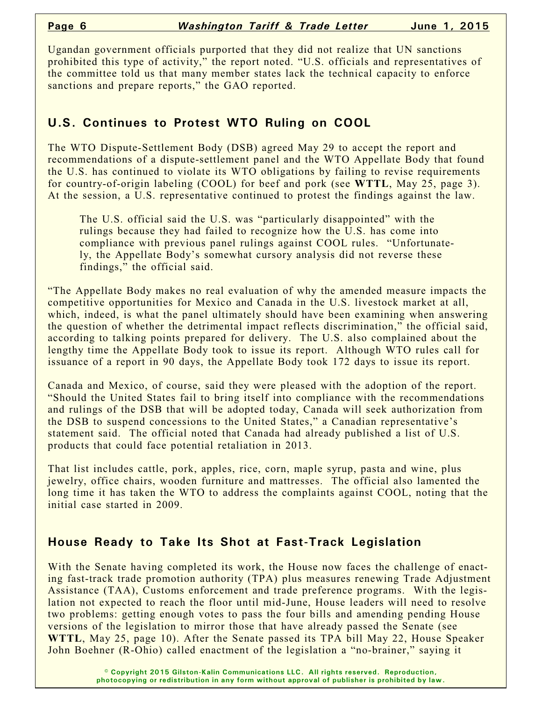Ugandan government officials purported that they did not realize that UN sanctions prohibited this type of activity," the report noted. "U.S. officials and representatives of the committee told us that many member states lack the technical capacity to enforce sanctions and prepare reports," the GAO reported.

### **U.S. Continues to Protest WTO Ruling on COOL**

The WTO Dispute-Settlement Body (DSB) agreed May 29 to accept the report and recommendations of a dispute-settlement panel and the WTO Appellate Body that found the U.S. has continued to violate its WTO obligations by failing to revise requirements for country-of-origin labeling (COOL) for beef and pork (see **WTTL**, May 25, page 3). At the session, a U.S. representative continued to protest the findings against the law.

The U.S. official said the U.S. was "particularly disappointed" with the rulings because they had failed to recognize how the U.S. has come into compliance with previous panel rulings against COOL rules. "Unfortunately, the Appellate Body's somewhat cursory analysis did not reverse these findings," the official said.

"The Appellate Body makes no real evaluation of why the amended measure impacts the competitive opportunities for Mexico and Canada in the U.S. livestock market at all, which, indeed, is what the panel ultimately should have been examining when answering the question of whether the detrimental impact reflects discrimination," the official said, according to talking points prepared for delivery. The U.S. also complained about the lengthy time the Appellate Body took to issue its report. Although WTO rules call for issuance of a report in 90 days, the Appellate Body took 172 days to issue its report.

Canada and Mexico, of course, said they were pleased with the adoption of the report. "Should the United States fail to bring itself into compliance with the recommendations and rulings of the DSB that will be adopted today, Canada will seek authorization from the DSB to suspend concessions to the United States," a Canadian representative's statement said. The official noted that Canada had already published a list of U.S. products that could face potential retaliation in 2013.

That list includes cattle, pork, apples, rice, corn, maple syrup, pasta and wine, plus jewelry, office chairs, wooden furniture and mattresses. The official also lamented the long time it has taken the WTO to address the complaints against COOL, noting that the initial case started in 2009.

### **House Ready to Take Its Shot at Fast-Track Legislation**

With the Senate having completed its work, the House now faces the challenge of enacting fast-track trade promotion authority (TPA) plus measures renewing Trade Adjustment Assistance (TAA), Customs enforcement and trade preference programs. With the legislation not expected to reach the floor until mid-June, House leaders will need to resolve two problems: getting enough votes to pass the four bills and amending pending House versions of the legislation to mirror those that have already passed the Senate (see **WTTL**, May 25, page 10). After the Senate passed its TPA bill May 22, House Speaker John Boehner (R-Ohio) called enactment of the legislation a "no-brainer," saying it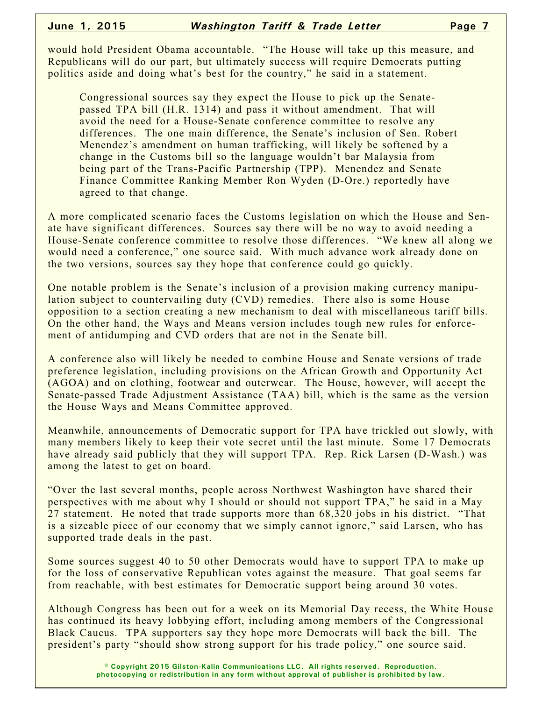would hold President Obama accountable. "The House will take up this measure, and Republicans will do our part, but ultimately success will require Democrats putting politics aside and doing what's best for the country," he said in a statement.

Congressional sources say they expect the House to pick up the Senatepassed TPA bill (H.R. 1314) and pass it without amendment. That will avoid the need for a House-Senate conference committee to resolve any differences. The one main difference, the Senate's inclusion of Sen. Robert Menendez's amendment on human trafficking, will likely be softened by a change in the Customs bill so the language wouldn't bar Malaysia from being part of the Trans-Pacific Partnership (TPP). Menendez and Senate Finance Committee Ranking Member Ron Wyden (D-Ore.) reportedly have agreed to that change.

A more complicated scenario faces the Customs legislation on which the House and Senate have significant differences. Sources say there will be no way to avoid needing a House-Senate conference committee to resolve those differences. "We knew all along we would need a conference," one source said. With much advance work already done on the two versions, sources say they hope that conference could go quickly.

One notable problem is the Senate's inclusion of a provision making currency manipulation subject to countervailing duty (CVD) remedies. There also is some House opposition to a section creating a new mechanism to deal with miscellaneous tariff bills. On the other hand, the Ways and Means version includes tough new rules for enforcement of antidumping and CVD orders that are not in the Senate bill.

A conference also will likely be needed to combine House and Senate versions of trade preference legislation, including provisions on the African Growth and Opportunity Act (AGOA) and on clothing, footwear and outerwear. The House, however, will accept the Senate-passed Trade Adjustment Assistance (TAA) bill, which is the same as the version the House Ways and Means Committee approved.

Meanwhile, announcements of Democratic support for TPA have trickled out slowly, with many members likely to keep their vote secret until the last minute. Some 17 Democrats have already said publicly that they will support TPA. Rep. Rick Larsen (D-Wash.) was among the latest to get on board.

"Over the last several months, people across Northwest Washington have shared their perspectives with me about why I should or should not support TPA," he said in a May 27 statement. He noted that trade supports more than 68,320 jobs in his district. "That is a sizeable piece of our economy that we simply cannot ignore," said Larsen, who has supported trade deals in the past.

Some sources suggest 40 to 50 other Democrats would have to support TPA to make up for the loss of conservative Republican votes against the measure. That goal seems far from reachable, with best estimates for Democratic support being around 30 votes.

Although Congress has been out for a week on its Memorial Day recess, the White House has continued its heavy lobbying effort, including among members of the Congressional Black Caucus. TPA supporters say they hope more Democrats will back the bill. The president's party "should show strong support for his trade policy," one source said.

> **© Copyright 2015 Gilston-Kalin Communications LLC. All rights reserved. Reproduction, photocopying or redistribution in any form without approval of publisher is prohibited by law.**